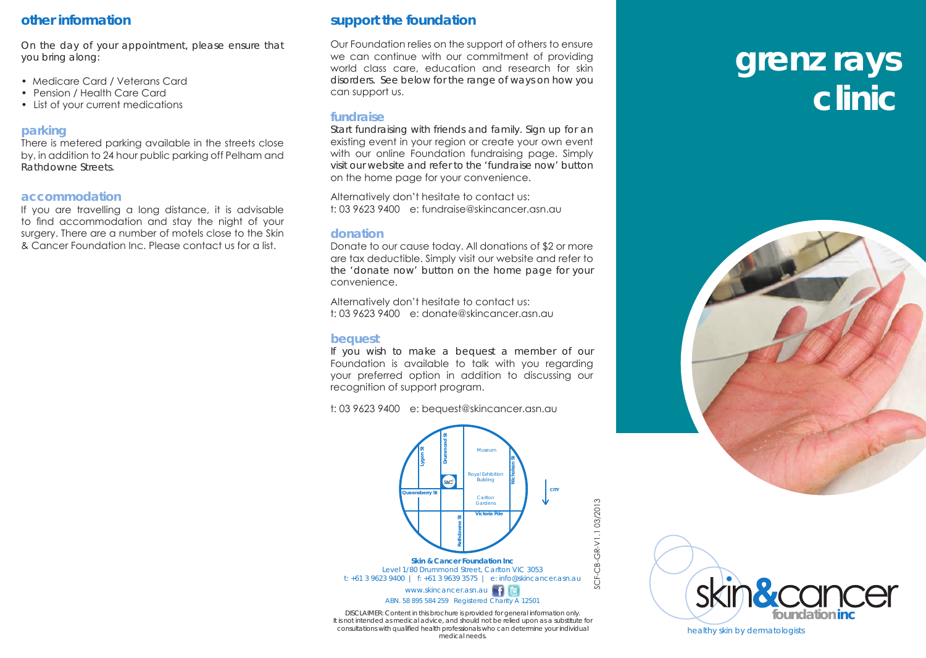# **other information**

On the day of your appointment, please ensure that you bring along:

- Medicare Card / Veterans Card
- Pension / Health Care Card
- List of your current medications

## **parking**

There is metered parking available in the streets close by, in addition to 24 hour public parking off Pelham and Rathdowne Streets.

## **accommodation**

If you are travelling a long distance, it is advisable to find accommodation and stay the night of your surgery. There are a number of motels close to the Skin & Cancer Foundation Inc. Please contact us for a list.

# **support the foundation**

Our Foundation relies on the support of others to ensure we can continue with our commitment of providing world class care, education and research for skin disorders. See below for the range of ways on how you can support us.

# **fundraise**

Start fundraising with friends and family. Sign up for an existing event in your region or create your own event with our online Foundation fundraising page. Simply visit our website and refer to the 'fundraise now' button on the home page for your convenience.

Alternatively don't hesitate to contact us: t: 03 9623 9400 e: fundraise@skincancer.asn.au

#### **donation**

Donate to our cause today. All donations of \$2 or more are tax deductible. Simply visit our website and refer to the 'donate now' button on the home page for your convenience.

Alternatively don't hesitate to contact us: t: 03 9623 9400 e: donate@skincancer.asn.au

# **bequest**

If you wish to make a bequest a member of our Foundation is available to talk with you regarding your preferred option in addition to discussing our recognition of support program.

t: 03 9623 9400 e: bequest@skincancer.asn.au



DISCLAIMER: Content in this brochure is provided for general information only. It is not intended as medical advice, and should not be relied upon as a substitute for consultations with qualified health professionals who can determine your individual medical needs.

# **grenz rays clinic**





healthy skin by dermatologists